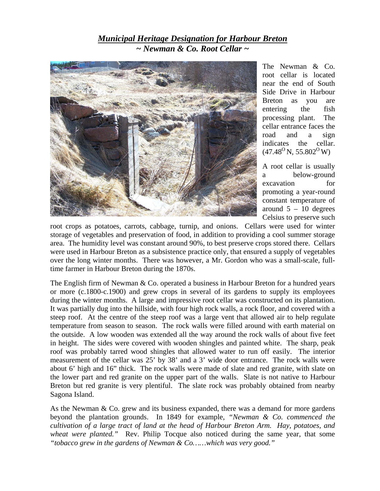## *Municipal Heritage Designation for Harbour Breton ~ Newman & Co. Root Cellar ~*



The Newman & Co. root cellar is located near the end of South Side Drive in Harbour Breton as you are entering the fish processing plant. The cellar entrance faces the road and a sign indicates the cellar.  $(47.48^{\circ}N, 55.802^{\circ}W)$ 

A root cellar is usually a below-ground excavation for promoting a year-round constant temperature of around  $5 - 10$  degrees Celsius to preserve such

root crops as potatoes, carrots, cabbage, turnip, and onions. Cellars were used for winter storage of vegetables and preservation of food, in addition to providing a cool summer storage area. The humidity level was constant around 90%, to best preserve crops stored there. Cellars were used in Harbour Breton as a subsistence practice only, that ensured a supply of vegetables over the long winter months. There was however, a Mr. Gordon who was a small-scale, fulltime farmer in Harbour Breton during the 1870s.

The English firm of Newman & Co. operated a business in Harbour Breton for a hundred years or more (c.1800-c.1900) and grew crops in several of its gardens to supply its employees during the winter months. A large and impressive root cellar was constructed on its plantation. It was partially dug into the hillside, with four high rock walls, a rock floor, and covered with a steep roof. At the centre of the steep roof was a large vent that allowed air to help regulate temperature from season to season. The rock walls were filled around with earth material on the outside. A low wooden was extended all the way around the rock walls of about five feet in height. The sides were covered with wooden shingles and painted white. The sharp, peak roof was probably tarred wood shingles that allowed water to run off easily. The interior measurement of the cellar was 25' by 38' and a 3' wide door entrance. The rock walls were about 6' high and 16" thick. The rock walls were made of slate and red granite, with slate on the lower part and red granite on the upper part of the walls. Slate is not native to Harbour Breton but red granite is very plentiful. The slate rock was probably obtained from nearby Sagona Island.

As the Newman & Co. grew and its business expanded, there was a demand for more gardens beyond the plantation grounds. In 1849 for example, *"Newman & Co. commenced the cultivation of a large tract of land at the head of Harbour Breton Arm. Hay, potatoes, and wheat were planted."* Rev. Philip Tocque also noticed during the same year, that some *"tobacco grew in the gardens of Newman & Co……which was very good."*